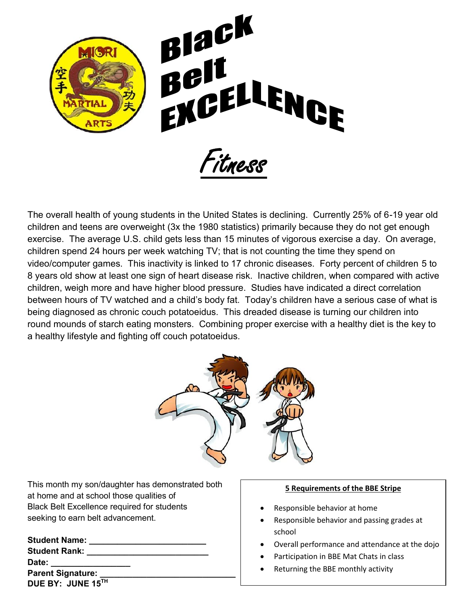

The overall health of young students in the United States is declining. Currently 25% of 6-19 year old children and teens are overweight (3x the 1980 statistics) primarily because they do not get enough exercise. The average U.S. child gets less than 15 minutes of vigorous exercise a day. On average, children spend 24 hours per week watching TV; that is not counting the time they spend on video/computer games. This inactivity is linked to 17 chronic diseases. Forty percent of children 5 to 8 years old show at least one sign of heart disease risk. Inactive children, when compared with active children, weigh more and have higher blood pressure. Studies have indicated a direct correlation between hours of TV watched and a child's body fat. Today's children have a serious case of what is being diagnosed as chronic couch potatoeidus. This dreaded disease is turning our children into round mounds of starch eating monsters. Combining proper exercise with a healthy diet is the key to a healthy lifestyle and fighting off couch potatoeidus.



This month my son/daughter has demonstrated both at home and at school those qualities of Black Belt Excellence required for students seeking to earn belt advancement.

| <b>Student Name:</b>     |  |
|--------------------------|--|
| <b>Student Rank:</b>     |  |
| Date:                    |  |
| <b>Parent Signature:</b> |  |
| DUE BY: JUNE 15TH        |  |

## **5 Requirements of the BBE Stripe**

- Responsible behavior at home
- Responsible behavior and passing grades at school
- Overall performance and attendance at the dojo
- Participation in BBE Mat Chats in class
- Returning the BBE monthly activity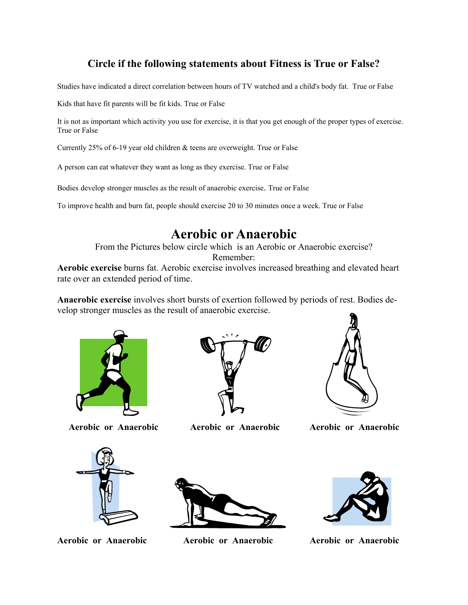## **Circle if the following statements about Fitness is True or False?**

Studies have indicated a direct correlation between hours of TV watched and a child's body fat. True or False

Kids that have fit parents will be fit kids. True or False

It is not as important which activity you use for exercise, it is that you get enough of the proper types of exercise. True or False

Currently 25% of 6-19 year old children & teens are overweight. True or False

A person can eat whatever they want as long as they exercise. True or False

Bodies develop stronger muscles as the result of anaerobic exercise. True or False

To improve health and burn fat, people should exercise 20 to 30 minutes once a week. True or False

**Aerobic or Anaerobic**<br>From the Pictures below circle which is an Aerobic or Anaerobic exercise? Remember:

**Aerobic exercise** burns fat. Aerobic exercise involves increased breathing and elevated heart rate over an extended period of time.

**Anaerobic exercise** involves short bursts of exertion followed by periods of rest. Bodies develop stronger muscles as the result of anaerobic exercise.





 **Aerobic or Anaerobic Aerobic or Anaerobic Aerobic or Anaerobic**







**Aerobic or Anaerobic Aerobic or Anaerobic Aerobic or Anaerobic**